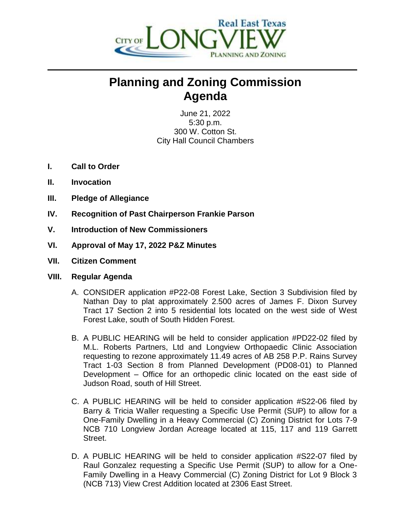

## **Planning and Zoning Commission Agenda**

June 21, 2022 5:30 p.m. 300 W. Cotton St. City Hall Council Chambers

- **I. Call to Order**
- **II. Invocation**
- **III. Pledge of Allegiance**
- **IV. Recognition of Past Chairperson Frankie Parson**
- **V. Introduction of New Commissioners**
- **VI. Approval of May 17, 2022 P&Z Minutes**
- **VII. Citizen Comment**

## **VIII. Regular Agenda**

- A. CONSIDER application #P22-08 Forest Lake, Section 3 Subdivision filed by Nathan Day to plat approximately 2.500 acres of James F. Dixon Survey Tract 17 Section 2 into 5 residential lots located on the west side of West Forest Lake, south of South Hidden Forest.
- B. A PUBLIC HEARING will be held to consider application #PD22-02 filed by M.L. Roberts Partners, Ltd and Longview Orthopaedic Clinic Association requesting to rezone approximately 11.49 acres of AB 258 P.P. Rains Survey Tract 1-03 Section 8 from Planned Development (PD08-01) to Planned Development – Office for an orthopedic clinic located on the east side of Judson Road, south of Hill Street.
- C. A PUBLIC HEARING will be held to consider application #S22-06 filed by Barry & Tricia Waller requesting a Specific Use Permit (SUP) to allow for a One-Family Dwelling in a Heavy Commercial (C) Zoning District for Lots 7-9 NCB 710 Longview Jordan Acreage located at 115, 117 and 119 Garrett Street.
- D. A PUBLIC HEARING will be held to consider application #S22-07 filed by Raul Gonzalez requesting a Specific Use Permit (SUP) to allow for a One-Family Dwelling in a Heavy Commercial (C) Zoning District for Lot 9 Block 3 (NCB 713) View Crest Addition located at 2306 East Street.